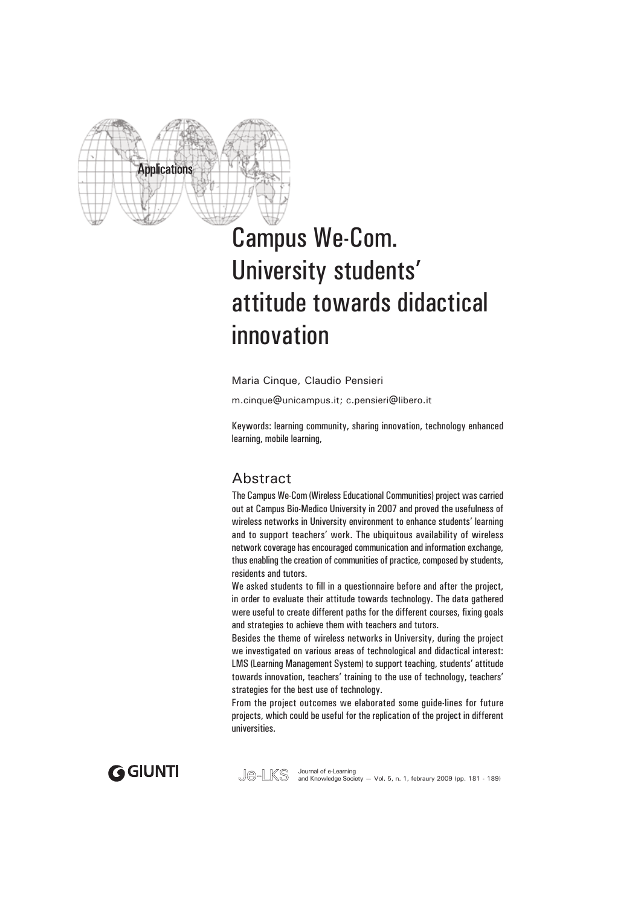

# Campus We-Com. University students' attitude towards didactical innovation

Maria Cinque, Claudio Pensieri

m.cinque@unicampus.it; c.pensieri@libero.it

Keywords: learning community, sharing innovation, technology enhanced learning, mobile learning,

## Abstract

The Campus We-Com (Wireless Educational Communities) project was carried out at Campus Bio-Medico University in 2007 and proved the usefulness of wireless networks in University environment to enhance students' learning and to support teachers' work. The ubiquitous availability of wireless network coverage has encouraged communication and information exchange, thus enabling the creation of communities of practice, composed by students, residents and tutors.

We asked students to fill in a questionnaire before and after the project. in order to evaluate their attitude towards technology. The data gathered were useful to create different paths for the different courses, fixing goals and strategies to achieve them with teachers and tutors.

Besides the theme of wireless networks in University, during the project we investigated on various areas of technological and didactical interest: LMS (Learning Management System) to support teaching, students' attitude towards innovation, teachers' training to the use of technology, teachers' strategies for the best use of technology.

From the project outcomes we elaborated some guide-lines for future projects, which could be useful for the replication of the project in different universities.



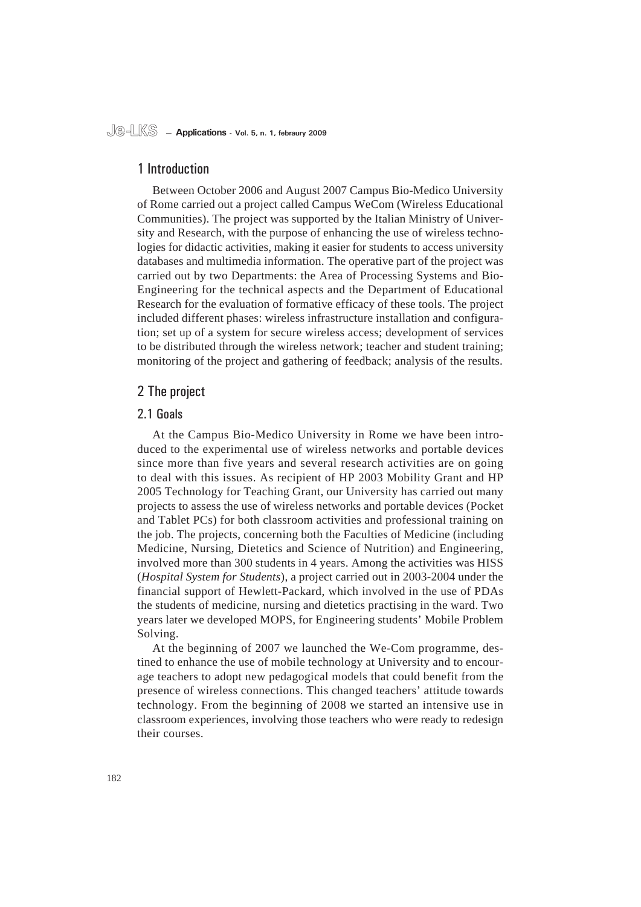#### 1 Introduction

Between October 2006 and August 2007 Campus Bio-Medico University of Rome carried out a project called Campus WeCom (Wireless Educational Communities). The project was supported by the Italian Ministry of University and Research, with the purpose of enhancing the use of wireless technologies for didactic activities, making it easier for students to access university databases and multimedia information. The operative part of the project was carried out by two Departments: the Area of Processing Systems and Bio-Engineering for the technical aspects and the Department of Educational Research for the evaluation of formative efficacy of these tools. The project included different phases: wireless infrastructure installation and configuration; set up of a system for secure wireless access; development of services to be distributed through the wireless network; teacher and student training; monitoring of the project and gathering of feedback; analysis of the results.

### 2 The project

#### 2.1 Goals

At the Campus Bio-Medico University in Rome we have been introduced to the experimental use of wireless networks and portable devices since more than five years and several research activities are on going to deal with this issues. As recipient of HP 2003 Mobility Grant and HP 2005 Technology for Teaching Grant, our University has carried out many projects to assess the use of wireless networks and portable devices (Pocket and Tablet PCs) for both classroom activities and professional training on the job. The projects, concerning both the Faculties of Medicine (including Medicine, Nursing, Dietetics and Science of Nutrition) and Engineering, involved more than 300 students in 4 years. Among the activities was HISS (*Hospital System for Students*), a project carried out in 2003-2004 under the financial support of Hewlett-Packard, which involved in the use of PDAs the students of medicine, nursing and dietetics practising in the ward. Two years later we developed MOPS, for Engineering students' Mobile Problem Solving.

At the beginning of 2007 we launched the We-Com programme, destined to enhance the use of mobile technology at University and to encourage teachers to adopt new pedagogical models that could benefit from the presence of wireless connections. This changed teachers' attitude towards technology. From the beginning of 2008 we started an intensive use in classroom experiences, involving those teachers who were ready to redesign their courses.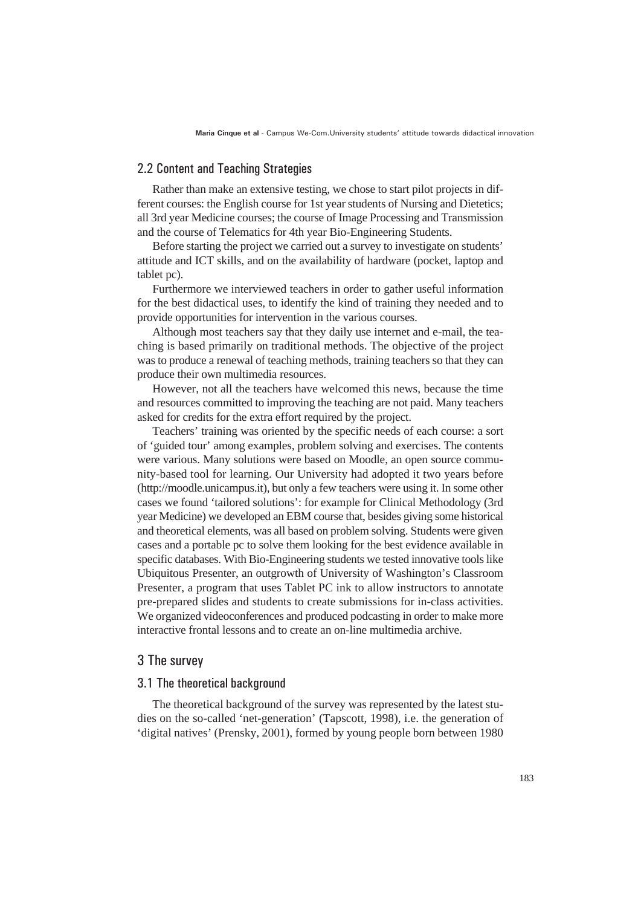#### 2.2 Content and Teaching Strategies

Rather than make an extensive testing, we chose to start pilot projects in different courses: the English course for 1st year students of Nursing and Dietetics; all 3rd year Medicine courses; the course of Image Processing and Transmission and the course of Telematics for 4th year Bio-Engineering Students.

Before starting the project we carried out a survey to investigate on students' attitude and ICT skills, and on the availability of hardware (pocket, laptop and tablet pc).

Furthermore we interviewed teachers in order to gather useful information for the best didactical uses, to identify the kind of training they needed and to provide opportunities for intervention in the various courses.

Although most teachers say that they daily use internet and e-mail, the teaching is based primarily on traditional methods. The objective of the project was to produce a renewal of teaching methods, training teachers so that they can produce their own multimedia resources.

However, not all the teachers have welcomed this news, because the time and resources committed to improving the teaching are not paid. Many teachers asked for credits for the extra effort required by the project.

Teachers' training was oriented by the specific needs of each course: a sort of 'guided tour' among examples, problem solving and exercises. The contents were various. Many solutions were based on Moodle, an open source community-based tool for learning. Our University had adopted it two years before (http://moodle.unicampus.it), but only a few teachers were using it. In some other cases we found 'tailored solutions': for example for Clinical Methodology (3rd year Medicine) we developed an EBM course that, besides giving some historical and theoretical elements, was all based on problem solving. Students were given cases and a portable pc to solve them looking for the best evidence available in specific databases. With Bio-Engineering students we tested innovative tools like Ubiquitous Presenter, an outgrowth of University of Washington's Classroom Presenter, a program that uses Tablet PC ink to allow instructors to annotate pre-prepared slides and students to create submissions for in-class activities. We organized videoconferences and produced podcasting in order to make more interactive frontal lessons and to create an on-line multimedia archive.

#### 3 The survey

#### 3.1 The theoretical background

The theoretical background of the survey was represented by the latest studies on the so-called 'net-generation' (Tapscott, 1998), i.e. the generation of 'digital natives' (Prensky, 2001), formed by young people born between 1980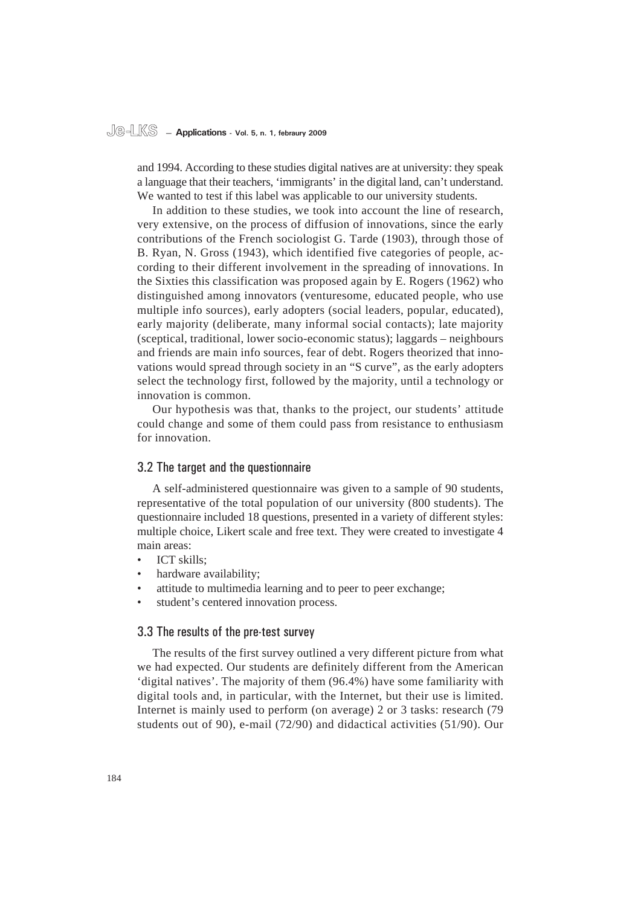# **Je-LKS — Applications - Vol. 5, n. 1, febraury 2009**

and 1994. According to these studies digital natives are at university: they speak a language that their teachers, 'immigrants' in the digital land, can't understand. We wanted to test if this label was applicable to our university students.

In addition to these studies, we took into account the line of research, very extensive, on the process of diffusion of innovations, since the early contributions of the French sociologist G. Tarde (1903), through those of B. Ryan, N. Gross (1943), which identified five categories of people, according to their different involvement in the spreading of innovations. In the Sixties this classification was proposed again by E. Rogers (1962) who distinguished among innovators (venturesome, educated people, who use multiple info sources), early adopters (social leaders, popular, educated), early majority (deliberate, many informal social contacts); late majority (sceptical, traditional, lower socio-economic status); laggards – neighbours and friends are main info sources, fear of debt. Rogers theorized that innovations would spread through society in an "S curve", as the early adopters select the technology first, followed by the majority, until a technology or innovation is common.

Our hypothesis was that, thanks to the project, our students' attitude could change and some of them could pass from resistance to enthusiasm for innovation.

#### 3.2 The target and the questionnaire

A self-administered questionnaire was given to a sample of 90 students, representative of the total population of our university (800 students). The questionnaire included 18 questions, presented in a variety of different styles: multiple choice, Likert scale and free text. They were created to investigate 4 main areas:

- ICT skills; •
- hardware availability; •
- attitude to multimedia learning and to peer to peer exchange; •
- student's centered innovation process. •

#### 3.3 The results of the pre-test survey

The results of the first survey outlined a very different picture from what we had expected. Our students are definitely different from the American 'digital natives'. The majority of them (96.4%) have some familiarity with digital tools and, in particular, with the Internet, but their use is limited. Internet is mainly used to perform (on average) 2 or 3 tasks: research (79 students out of 90), e-mail (72/90) and didactical activities (51/90). Our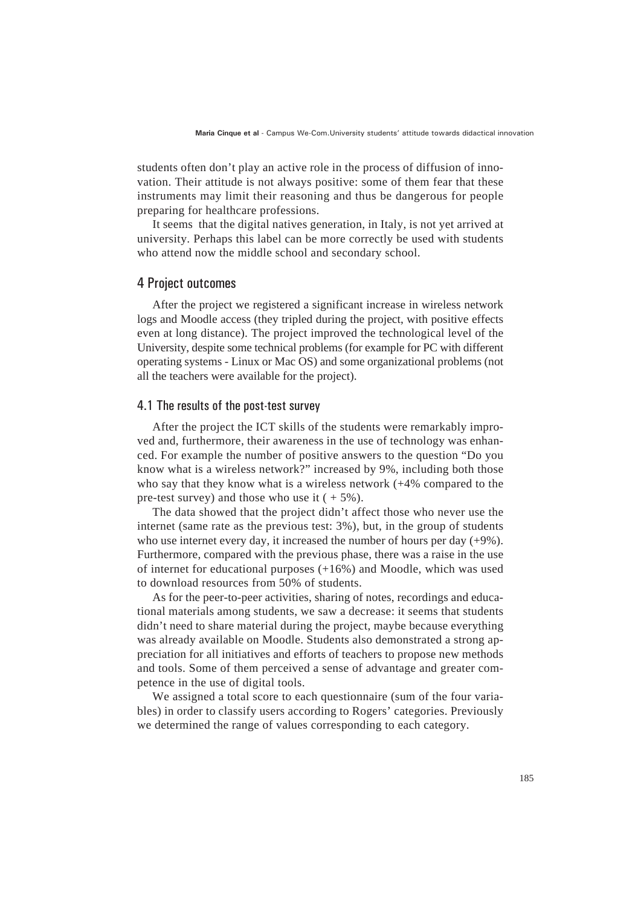students often don't play an active role in the process of diffusion of innovation. Their attitude is not always positive: some of them fear that these instruments may limit their reasoning and thus be dangerous for people preparing for healthcare professions.

It seems that the digital natives generation, in Italy, is not yet arrived at university. Perhaps this label can be more correctly be used with students who attend now the middle school and secondary school.

#### 4 Project outcomes

After the project we registered a significant increase in wireless network logs and Moodle access (they tripled during the project, with positive effects even at long distance). The project improved the technological level of the University, despite some technical problems (for example for PC with different operating systems - Linux or Mac OS) and some organizational problems (not all the teachers were available for the project).

#### 4.1 The results of the post-test survey

After the project the ICT skills of the students were remarkably improved and, furthermore, their awareness in the use of technology was enhanced. For example the number of positive answers to the question "Do you know what is a wireless network?" increased by 9%, including both those who say that they know what is a wireless network (+4% compared to the pre-test survey) and those who use it  $(+5\%)$ .

The data showed that the project didn't affect those who never use the internet (same rate as the previous test: 3%), but, in the group of students who use internet every day, it increased the number of hours per day (+9%). Furthermore, compared with the previous phase, there was a raise in the use of internet for educational purposes (+16%) and Moodle, which was used to download resources from 50% of students.

As for the peer-to-peer activities, sharing of notes, recordings and educational materials among students, we saw a decrease: it seems that students didn't need to share material during the project, maybe because everything was already available on Moodle. Students also demonstrated a strong appreciation for all initiatives and efforts of teachers to propose new methods and tools. Some of them perceived a sense of advantage and greater competence in the use of digital tools.

We assigned a total score to each questionnaire (sum of the four variables) in order to classify users according to Rogers' categories. Previously we determined the range of values corresponding to each category.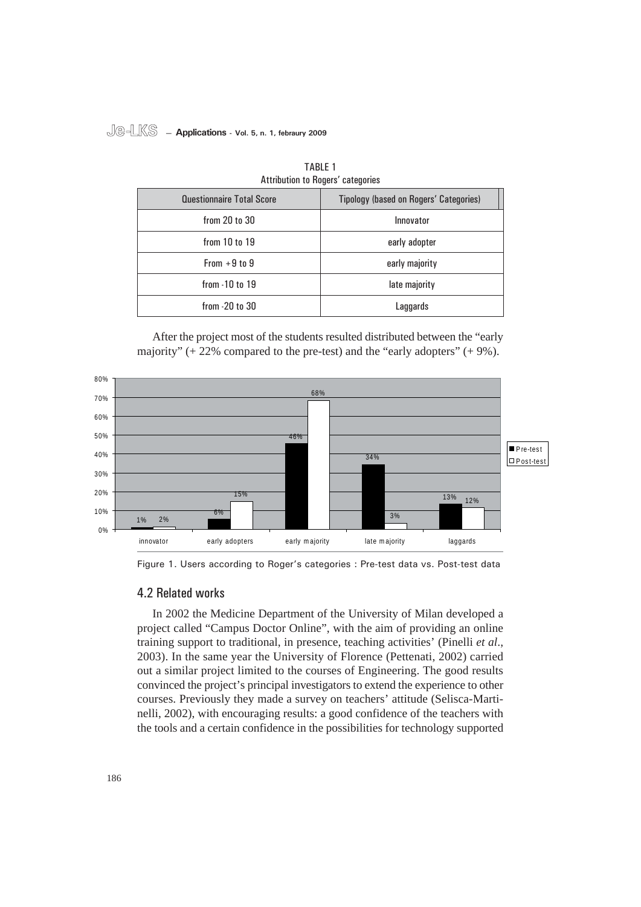#### **Je-LKS — Applications - Vol. 5, n. 1, febraury 2009**

| Attribution to Rogers' categories |                                               |  |
|-----------------------------------|-----------------------------------------------|--|
| <b>Questionnaire Total Score</b>  | <b>Tipology (based on Rogers' Categories)</b> |  |
| from 20 to 30                     | Innovator                                     |  |
| from 10 to 19                     | early adopter                                 |  |
| From $+9$ to 9                    | early majority                                |  |
| from $-10$ to $19$                | late majority                                 |  |
| from -20 to 30                    | Laggards                                      |  |

| <b>TABLE 1</b>                    |  |  |
|-----------------------------------|--|--|
| Attribution to Rogers' categories |  |  |

After the project most of the students resulted distributed between the "early majority"  $(+ 22\%$  compared to the pre-test) and the "early adopters"  $(+ 9\%)$ .



Figure 1. Users according to Roger's categories : Pre-test data vs. Post-test data

#### 4.2 Related works

In 2002 the Medicine Department of the University of Milan developed a project called "Campus Doctor Online", with the aim of providing an online training support to traditional, in presence, teaching activities' (Pinelli *et al*., 2003). In the same year the University of Florence (Pettenati, 2002) carried out a similar project limited to the courses of Engineering. The good results convinced the project's principal investigators to extend the experience to other courses. Previously they made a survey on teachers' attitude (Selisca-Martinelli, 2002), with encouraging results: a good confidence of the teachers with the tools and a certain confidence in the possibilities for technology supported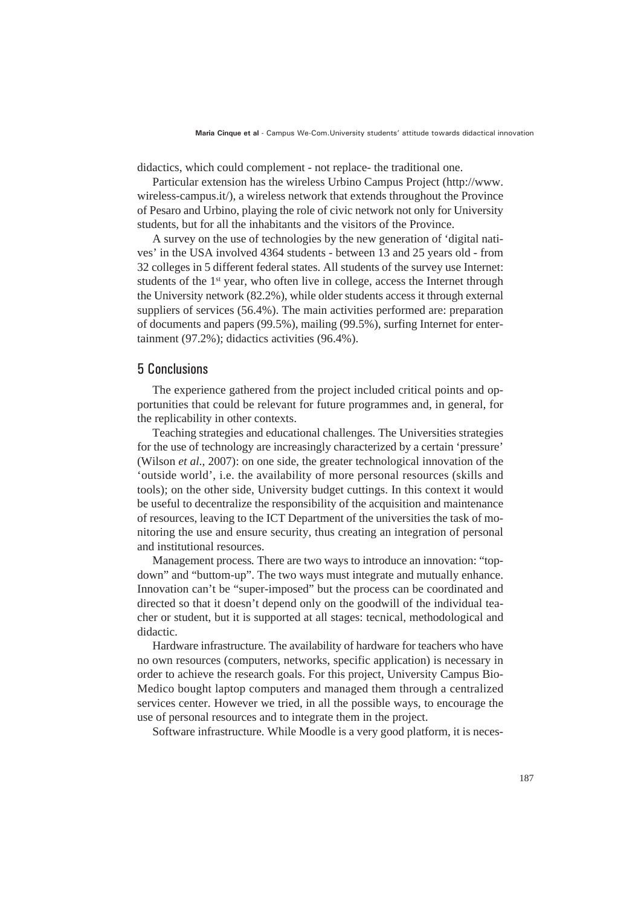didactics, which could complement - not replace- the traditional one.

Particular extension has the wireless Urbino Campus Project (http://www. wireless-campus.it/), a wireless network that extends throughout the Province of Pesaro and Urbino, playing the role of civic network not only for University students, but for all the inhabitants and the visitors of the Province.

A survey on the use of technologies by the new generation of 'digital natives' in the USA involved 4364 students - between 13 and 25 years old - from 32 colleges in 5 different federal states. All students of the survey use Internet: students of the 1<sup>st</sup> year, who often live in college, access the Internet through the University network (82.2%), while older students access it through external suppliers of services (56.4%). The main activities performed are: preparation of documents and papers (99.5%), mailing (99.5%), surfing Internet for entertainment (97.2%); didactics activities (96.4%).

#### 5 Conclusions

The experience gathered from the project included critical points and opportunities that could be relevant for future programmes and, in general, for the replicability in other contexts.

Teaching strategies and educational challenges*.* The Universities strategies for the use of technology are increasingly characterized by a certain 'pressure' (Wilson *et al*., 2007): on one side, the greater technological innovation of the 'outside world', i.e. the availability of more personal resources (skills and tools); on the other side, University budget cuttings. In this context it would be useful to decentralize the responsibility of the acquisition and maintenance of resources, leaving to the ICT Department of the universities the task of monitoring the use and ensure security, thus creating an integration of personal and institutional resources.

Management process*.* There are two ways to introduce an innovation: "topdown" and "buttom-up". The two ways must integrate and mutually enhance. Innovation can't be "super-imposed" but the process can be coordinated and directed so that it doesn't depend only on the goodwill of the individual teacher or student, but it is supported at all stages: tecnical, methodological and didactic.

Hardware infrastructure*.* The availability of hardware for teachers who have no own resources (computers, networks, specific application) is necessary in order to achieve the research goals. For this project, University Campus Bio-Medico bought laptop computers and managed them through a centralized services center. However we tried, in all the possible ways, to encourage the use of personal resources and to integrate them in the project.

Software infrastructure*.* While Moodle is a very good platform, it is neces-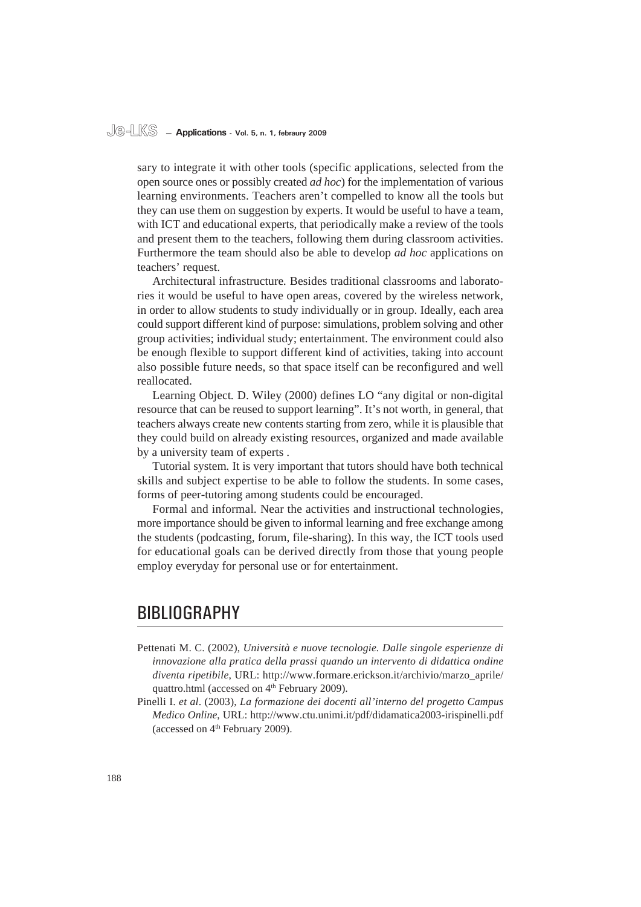#### **Je-LKS — Applications - Vol. 5, n. 1, febraury 2009**

sary to integrate it with other tools (specific applications, selected from the open source ones or possibly created *ad hoc*) for the implementation of various learning environments. Teachers aren't compelled to know all the tools but they can use them on suggestion by experts. It would be useful to have a team, with ICT and educational experts, that periodically make a review of the tools and present them to the teachers, following them during classroom activities. Furthermore the team should also be able to develop *ad hoc* applications on teachers' request.

Architectural infrastructure*.* Besides traditional classrooms and laboratories it would be useful to have open areas, covered by the wireless network, in order to allow students to study individually or in group. Ideally, each area could support different kind of purpose: simulations, problem solving and other group activities; individual study; entertainment. The environment could also be enough flexible to support different kind of activities, taking into account also possible future needs, so that space itself can be reconfigured and well reallocated.

Learning Object*.* D. Wiley (2000) defines LO "any digital or non-digital resource that can be reused to support learning". It's not worth, in general, that teachers always create new contents starting from zero, while it is plausible that they could build on already existing resources, organized and made available by a university team of experts .

Tutorial system*.* It is very important that tutors should have both technical skills and subject expertise to be able to follow the students. In some cases, forms of peer-tutoring among students could be encouraged.

Formal and informal*.* Near the activities and instructional technologies, more importance should be given to informal learning and free exchange among the students (podcasting, forum, file-sharing). In this way, the ICT tools used for educational goals can be derived directly from those that young people employ everyday for personal use or for entertainment.

## BIBLIOGRAPHY

- Pettenati M. C. (2002), *Università e nuove tecnologie. Dalle singole esperienze di innovazione alla pratica della prassi quando un intervento di didattica ondine diventa ripetibile*, URL: http://www.formare.erickson.it/archivio/marzo\_aprile/ quattro.html (accessed on 4<sup>th</sup> February 2009).
- Pinelli I. *et al*. (2003), *La formazione dei docenti all'interno del progetto Campus Medico Online*, URL: http://www.ctu.unimi.it/pdf/didamatica2003-irispinelli.pdf (accessed on 4<sup>th</sup> February 2009).